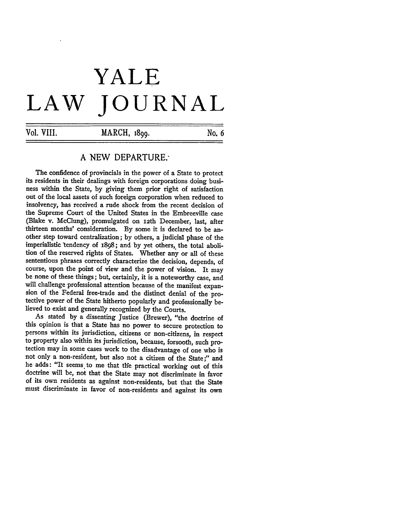## **YALE LAW JOURNAL**

| Vol. VIII. | MARCH, 1899. | No. 6 |
|------------|--------------|-------|
|------------|--------------|-------|

## **A NEW** DEPARTURE.-

The confidence of provincials in the power of a State to protect its residents in their dealings with foreign corporations doing business within the State, by giving them prior right of satisfaction out of the local assets of such foreign corporation when reduced to insolvency, has received a rude shock from the recent decision of the Supreme Court of the United States in the Embreeville case (Blake v. McClung), promulgated on **12th** December, last, after thirteen months' consideration. **By** some it is declared to be another step toward centralization; **by** others, a judicial phase of the imperialistic tendency of 1898; and by yet others, the total abolition of the reserved rights of States. Whether any or all of these sententious phrases correctly characterize the decision, depends, of course, upon the point of view and the power of vision. It may be none of these things; but, certainly, it is a noteworthy case, and will challenge professional attention because of the manifest expansion of the Federal free-trade and the distinct denial of the protective power of the State hitherto popularly and professionally believed to exist and generally recognized **by** the Courts.

As stated **by** a dissenting Justice (Brewer), "the doctrine of this opinion is that a State has no power to secure protection to persons within its jurisdiction, citizens or non-citizens, in respect to property also within its jurisdiction, because, forsooth, such protection may in some cases work to the disadvantage of one who is not only a non-resident, but also not a citizen of the State ;" and he adds: "It seems to me that the practical working out of this doctrine will be, not that the State may not discriminate in favor of its own residents as against non-residents, but that the State must discriminate in favor of non-residents and against its own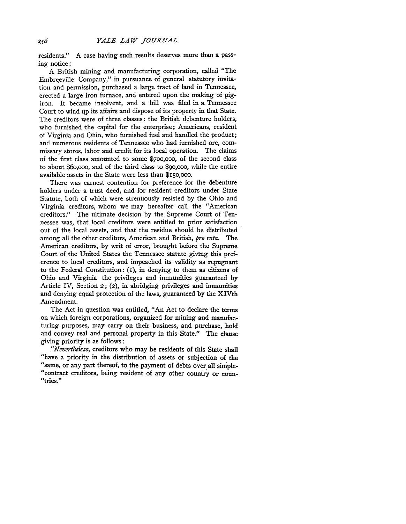residents." A case having such results deserves more than a passing notice:

A British mining and manufacturing corporation, called "The Embreeville Company," in pursuance of general statutory invitation and permission, purchased a large tract of land in Tennessee, erected a large iron furnace, and entered upon the making of pigiron. It became insolvent, and a bill was filed in a Tennessee Court to wind up its affairs and dispose of its property in that State. The creditors were of three classes: the British debenture holders, who furnished the capital for the enterprise; Americans, resident of Virginia and Ohio, who furnished fuel and handled the product; and numerous residents of Tennessee who had furnished ore, commissary stores, labor and credit for its local operation. The claims of the first class amounted to some \$7ooooo, of the second class to about \$60,000, and of the third class to \$90,000, while the entire available assets in the State were less than \$i5o,ooo.

There was earnest contention for preference for the debenture holders under a trust deed, and for resident creditors under State Statute, both of which were strenuously resisted by the Ohio and Virginia creditors, whom we may hereafter call the "American creditors." The ultimate decision by the Supreme Court of Tennessee was, that local creditors were entitled to prior satisfaction out of the local assets, and that the residue should be distributed among all the other creditors, American and British, *pro rata.* The American creditors, by writ of error, brought before the Supreme Court of the United States the Tennessee statute giving this preference to local creditors, and impeached its validity as repugnant to the Federal Constitution: (i), in denying to them as citizens of Ohio and Virginia the privileges and immunities guaranteed **by** Article IV, Section *2;* (2), in abridging privileges and immunities and denying equal protection of the laws, guaranteed **by** the XIVth Amendment.

The Act in question was entitled, *"An* Act to declare the terms on which foreign corporations, organized for mining and manufacturing purposes, may carry on their business, and purchase, hold and convey real and personal property in this State." The clause giving priority is as follows:

*"Nevertheless,* creditors who may be residents of this State shall "have a priority in the distribution of assets or subjection of the "same, or any part thereof, to the payment of debts over all simple- "contract creditors, being resident of any other country or coun- "tries."

256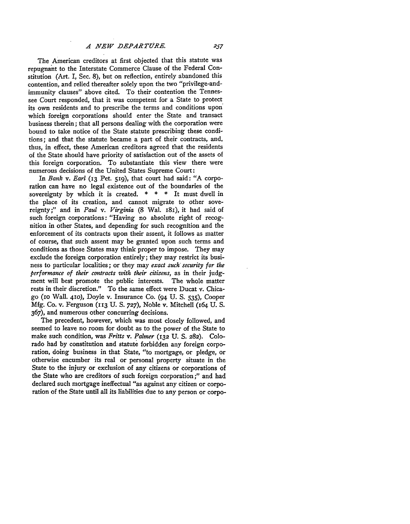The American creditors at first objected that this statute was repugnant to the Interstate Commerce Clause of the Federal Constitution (Art. I, Sec. **8),** but on reflection, entirely abandoned this contention, and relied thereafter solely upon the two "privilege-andimmunity clauses" above cited. To their contention the Tennessee Court responded, that it was competent for a State to protect its own residents and to prescribe the terms and conditions upon which foreign corporations should enter the State and transact business therein; that all persons dealing with the corporation were bound to take notice of the State statute prescribing these conditions; and that the statute became a part of their contracts, and, thus, in effect, these American creditors agreed that the residents of the State should have priority of satisfaction out of the assets of this foreign corporation. To substantiate this view there were numerous decisions of the United States Supreme Court:

In *Bank v. Earl* **(13** Pet. **519),** that court had said: "A corporation can have no legal existence out of the boundaries of the sovereignty **by** which it is created. **\* \* \*** It must dwell in the place of its creation, and cannot migrate to other sovereignty;" and in *Paul v. Virginia* **(8** Wal. I81), it had said of such foreign corporations: "Having no absolute right of recognition in other States, and depending for such recognition and the enforcement of its contracts upon their assent, it follows as matter of course, that such assent may be granted upon such terms and conditions as those States may think proper to impose. They may exclude the foreign corporation entirely; they may restrict its business to particular localities; or they may *exact such security for the performance of their contracts with their citizens,* as in their judgment will best promote the public interests. The whole matter rests in their discretion." To the same effect were Ducat v. Chicago (io Wall. **41o),** Doyle v. Insurance Co. (94 **U. S. 535),** Cooper **Mfg.** Co. v. Ferguson **(I 13 U. S.** *727),* Noble v. Mitchell (164 **U. S. 367),** and numerous other concurring decisions.

The precedent, however, which was most closely followed, and seemed to leave no room for doubt as to the power of the State to make such condition, was *Fritts v. Palmer* **(132 U. S. 282). Colo**rado **had by** constitution and statute forbidden any foreign corporation, doing business in that State, "to mortgage, or pledge, or otherwise encumber its real or personal property situate in the State to the injury or exclusion of any citizens or corporations of the State who are creditors of such foreign corporation ;" and had declared such mortgage ineffectual "as against any citizen or corporation of the State until all its liabilities due to any person or corpo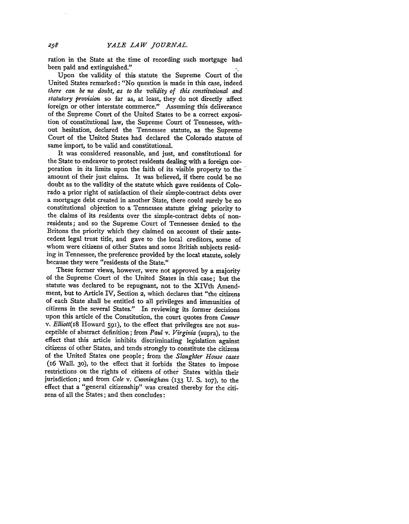ration in the State at the time of recording such mortgage had been paid and extinguished."

Upon the validity of this statute the Supreme Court of the United States remarked: "No question is made in this case, indeed *there can be no doubt, as to the validity of this constitutional and statutory provision* so far as, at least, they do not directly affect foreign or other interstate commerce." Assuming this deliverance of the Supreme Court of the United States to be a correct exposition of constitutional law, the Supreme Court of Tennessee, without hesitation, declared the Tennessee statute, as the Supreme Court of the United States had declared the Colorado statute of same import, to be valid and constitutional.

It was considered reasonable, and just, and constitutional for the State to endeavor to protect residents dealing with a foreign corporation in its limits upon the faith of its visible property to the amount of their just claims. It was believed, if there could be no doubt as to the validity of the statute which gave residents of Colorado a prior right of satisfaction of their simple-contract debts over a mortgage debt created in another State, there could surely be no constitutional objection to a Tennessee statute giving priority to the claims of its residents over the simple-contract debts of nonresidents; and so the Supreme Court of Tennessee denied to the Britons the priority which they claimed on account of their antecedent legal trust title, and gave to the local creditors, some of whom were citizens of other States and some British subjects residing in Tennessee, the preference provided by the local statute, solely because they were "residents of the State."

These former views, however, were not approved by a majority of the Supreme Court of the United States in this case; but the statute was declared to be repugnant, not to the XIVth Amendment, but to Article IV, Section 2, which declares that "the citizens of each State shall be entitled to all privileges and immunities of citizens in the several States." In reviewing its former decisions upon this article of the Constitution, the court quotes from *Conner v. Elliott(i8* Howard 591), to the effect that privileges are not susceptible of abstract definition; from *Paul* v. *Virginia* (supra), to the effect that this article inhibits discriminating legislation against citizens of other States, and tends strongly to constitute the citizens of the United States one people; from the *Slaughter House cases* (16 Wall. 3o), to the effect that it forbids the States to impose restrictions on the rights of citizens of other States within their jurisdiction; and from *Cole v. Cunningham* (133 U. S. 107), to the effect that a "general citizenship" was created thereby for the citizens of all the States; and then concludes:

 $258$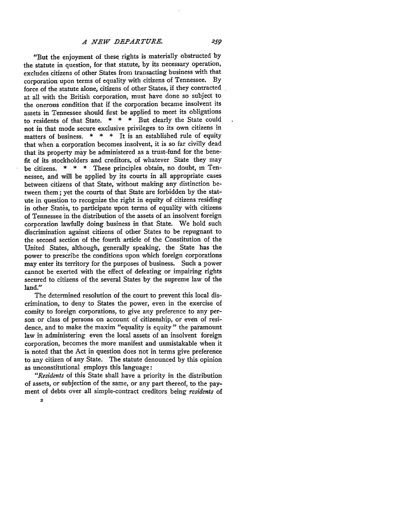"But the enjoyment of these rights is materially obstructed by the statute in question, for that statute, by its necessary operation, excludes citizens of other States from transacting business with that corporation upon terms of equality with citizens of Tennessee. By force of the statute alone, citizens of other States, if they contracted at all with the British corporation, must have done so subject to the onerous condition that if the corporation became insolvent its assets in Tennessee should first be applied to meet its obligations to residents of that State. **\* \* \*** But clearly the State could not in that mode secure exclusive privileges to its own citizens in matters of business. **\* \* \*** It is an established rule of equity that when a corporation becomes insolvent, it is so far civilly dead that its property may be administered as a trust-fund for the benefit of its stockholders and creditors, of whatever State they may be citizens. **\* \* \*** These principles obtain, no doubt, in Tennessee, and will be applied by its courts in all appropriate cases between citizens of that State, without making any distinction between them; yet the courts of that State are forbidden by the statute in question to recognize the right in equity of citizens residing in other States, to participate upon terms of equality with citizens of Tennessee in the distribution of the assets of an insolvent foreign corporation lawfully doing business in that State. We hold such discrimination against citizens of other States to be repugnant to the second section of the fourth article of the Constitution of the United States, although, generally speaking, the State has the power to prescribe the conditions upon which foreign corporations may enter its territory for the purposes of business. Such a power cannot be exerted with the effect of defeating or impairing rights secured to citizens of the several States by the supreme law of the land."

The determined resolution of the court to prevent this local discrimination, to deny to States the power, even in the exercise of comity to foreign corporations, to give any preference to any person or class of persons on account of citizenship, or even of residence, and to make the maxim "equality is equity" the paramount law in administering even the local assets of an insolvent foreign corporation, becomes the more manifest and unmistakable when it is noted that the Act in question does not in terms give preference to any citizen of any State. The statute denounced by this opinion as unconstitutional employs this language:

*"Residents* of this State shall have a priority in the distribution of assets, or subjection of the same, or any part thereof, to the payment of debts over all simple-contract creditors being *residents* of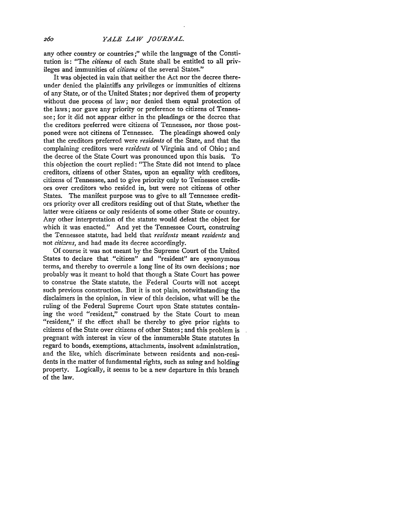any other country or countries ;" while the language of the Constitution is: "The *citizens* of each State shall be entitled to all privileges and immunities of *citizens* of the several States."

It was objected in vain that neither the Act nor the decree thereunder denied the plaintiffs any privileges or immunities of citizens of any State, or of the United States; nor deprived them of property without due process **of** law; nor denied them equal protection of the laws; nor gave any priority or preference to citizens of Tennessee; for it did not appear either in the pleadings or the decree that the creditors preferred were citizens of Tennessee, nor those postponed were not citizens of Tennessee. The pleadings showed only that the creditors preferred were *residents* of the State, and that the complaining creditors were *rcsidents* of Virginia and of Ohio; and the decree of the State Court was pronounced upon this basis. To this objection the court replied: "The State did not intend to place creditors, citizens of other States, upon an equality with creditors, citizens of Tennessee, and to give priority only to Tennessee creditors over creditors who resided in, but were not citizens of other States. The manifest purpose was to give to all Tennessee creditors priority over all creditors residing out of that State, whether the latter were citizens or only residents of some other State or country. Any other interpretation of the statute would defeat the object for which it was enacted." And yet the Tennessee Court, construing the Tennessee statute, had held that *residents* meant *residents* and not *citizens,* and had made its decree accordingly.

**Of** course it was not meant by the Supreme Court of the United States to declare that "citizen" and "resident" are synonymous terms, and thereby to overrule a long line of its own decisions; nor probably was it meant to hold that though a State Court has power to construe the State statute, the Federal Courts will not accept such previous construction. But it is not plain, notwithstanding the disclaimers in the opinion, in view of this decision, what will be the ruling of the Federal Supreme Court upon State statutes contain*ing* the word "resident," construed by the State Court to mean "resident," if the effect shall be thereby to give prior rights to citizens of the State over citizens of other States; and this problem is pregnant with interest in view of the innumerable State statutes in regard to bonds, exemptions, attachments, insolvent administration, and the like, which discriminate between residents and non-residents in the matter of fundamental rights, such as suing and holding property. Logically, it seems to be a new departure in this branch of the law.